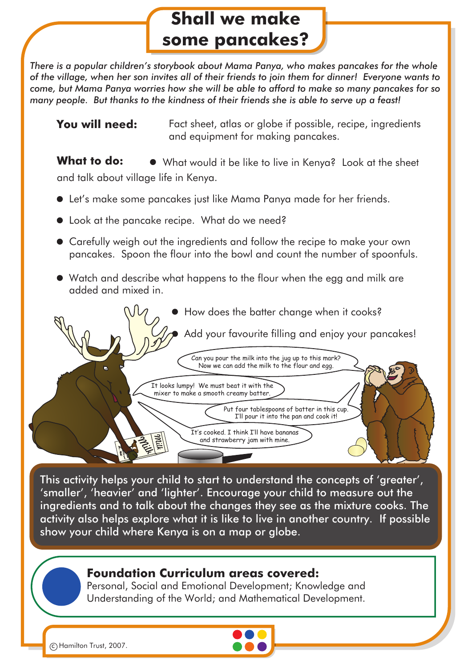# **Shall we make some pancakes?**

*There is a popular children's storybook about Mama Panya, who makes pancakes for the whole* of the village, when her son invites all of their friends to join them for dinner! Everyone wants to *come, but Mama Panya worries how she will be able to afford to make so many pancakes for so many people. But thanks to the kindness of their friends she is able to serve up a feast!*

**You will need:** Fact sheet, atlas or globe if possible, recipe, ingredients and equipment for making pancakes.

**What to do:**  $\bullet$  What would it be like to live in Kenya? Look at the sheet and talk about village life in Kenya.

- Let's make some pancakes just like Mama Panya made for her friends.
- Look at the pancake recipe. What do we need?
- Carefully weigh out the ingredients and follow the recipe to make your own pancakes. Spoon the flour into the bowl and count the number of spoonfuls.
- Watch and describe what happens to the flour when the egg and milk are added and mixed in.



This activity helps your child to start to understand the concepts of 'greater', 'smaller', 'heavier' and 'lighter'. Encourage your child to measure out the ingredients and to talk about the changes they see as the mixture cooks. The activity also helps explore what it is like to live in another country. If possible show your child where Kenya is on a map or globe.

## **Foundation Curriculum areas covered:**

Personal, Social and Emotional Development; Knowledge and Understanding of the World; and Mathematical Development.



c Hamilton Trust, 2007.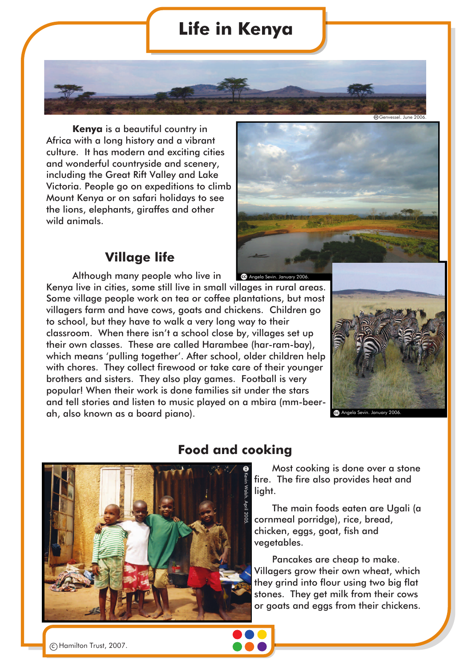## **Life in Kenya**

**Kenya** is a beautiful country in Africa with a long history and a vibrant culture. It has modern and exciting cities and wonderful countryside and scenery, including the Great Rift Valley and Lake Victoria. People go on expeditions to climb Mount Kenya or on safari holidays to see the lions, elephants, giraffes and other wild animals.

### **Village life**

Although many people who live in Kenya live in cities, some still live in small villages in rural areas. Some village people work on tea or coffee plantations, but most villagers farm and have cows, goats and chickens. Children go to school, but they have to walk a very long way to their classroom. When there isn't a school close by, villages set up their own classes. These are called Harambee (har-ram-bay), which means 'pulling together'. After school, older children help with chores. They collect firewood or take care of their younger brothers and sisters. They also play games. Football is very popular! When their work is done families sit under the stars and tell stories and listen to music played on a mbira (mm-beerah, also known as a board piano). **CO** Angela Sev



Genvessel. June 2006.



## **Food and cooking**

Most cooking is done over a stone fire. The fire also provides heat and light.

The main foods eaten are Ugali (a cornmeal porridge), rice, bread, chicken, eggs, goat, fish and vegetables.

Pancakes are cheap to make. Villagers grow their own wheat, which they grind into flour using two big flat stones. They get milk from their cows or goats and eggs from their chickens.